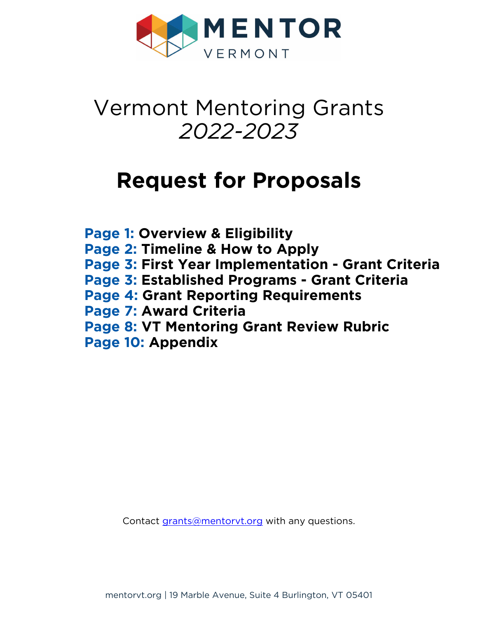

# Vermont Mentoring Grants *2022-2023*

# **Request for Proposals**

**Page 1: [Overview & Eligibility](#page-1-0) Page 2: [Timeline & How to Apply](#page-2-0) Page 3: [First Year Implementation - Grant Criteria](#page-3-0) Page 3: [Established Programs - Grant Criteria](#page-3-0) Page 4: [Grant Reporting Requirements](#page-4-0) Page 7: [Award Criteria](#page-7-0) Page 8: [VT Mentoring Grant Review Rubric](#page-8-0) Page 10: [Appendix](#page-10-0)**

Contact grants@mentoryt.org with any questions.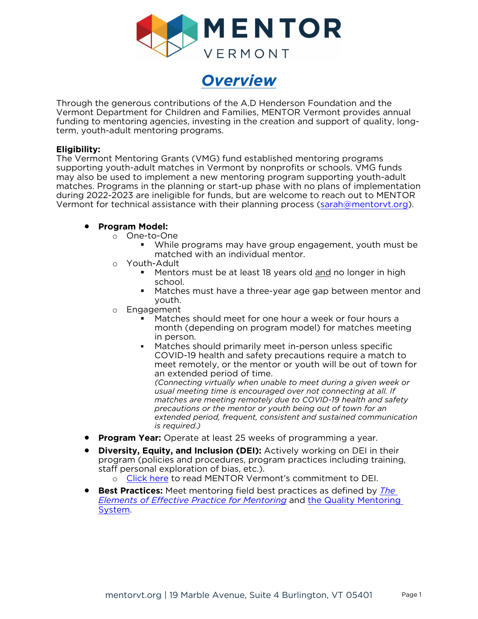



<span id="page-1-0"></span>Through the generous contributions of the A.D Henderson Foundation and the Vermont Department for Children and Families, MENTOR Vermont provides annual funding to mentoring agencies, investing in the creation and support of quality, longterm, youth-adult mentoring programs.

### **Eligibility:**

The Vermont Mentoring Grants (VMG) fund established mentoring programs supporting youth-adult matches in Vermont by nonprofits or schools. VMG funds may also be used to implement a new mentoring program supporting youth-adult matches. Programs in the planning or start-up phase with no plans of implementation during 2022-2023 are ineligible for funds, but are welcome to reach out to MENTOR Vermont for technical assistance with their planning process [\(sarah@mentorvt.org\)](mailto:sarah@mentorvt.org).

### • **Program Model:**

- o One-to-One
	- While programs may have group engagement, youth must be matched with an individual mentor.
- o Youth-Adult
	- Mentors must be at least 18 years old and no longer in high school.
	- Matches must have a three-year age gap between mentor and youth.
- o Engagement
	- Matches should meet for one hour a week or four hours a month (depending on program model) for matches meeting in person.
	- Matches should primarily meet in-person unless specific COVID-19 health and safety precautions require a match to meet remotely, or the mentor or youth will be out of town for an extended period of time.

*(Connecting virtually when unable to meet during a given week or usual meeting time is encouraged over not connecting at all. If matches are meeting remotely due to COVID-19 health and safety precautions or the mentor or youth being out of town for an extended period, frequent, consistent and sustained communication is required.)* 

- **Program Year:** Operate at least 25 weeks of programming a year.
- **Diversity, Equity, and Inclusion (DEI):** Actively working on DEI in their program (policies and procedures, program practices including training, staff personal exploration of bias, etc.).
	- [Click here](https://www.mentorvt.org/#DEI) to read MENTOR Vermont's commitment to DEI.
- **Best Practices:** Meet mentoring field best practices as defined by *[The](https://www.mentoring.org/program-resources/elements-of-effective-practice-for-mentoring/)  [Elements of Effective Practice for Mentoring](https://www.mentoring.org/program-resources/elements-of-effective-practice-for-mentoring/)* and [the Quality Mentoring](https://www.mentorvt.org/resources-for-programs/#2)  [System.](https://www.mentorvt.org/resources-for-programs/#2)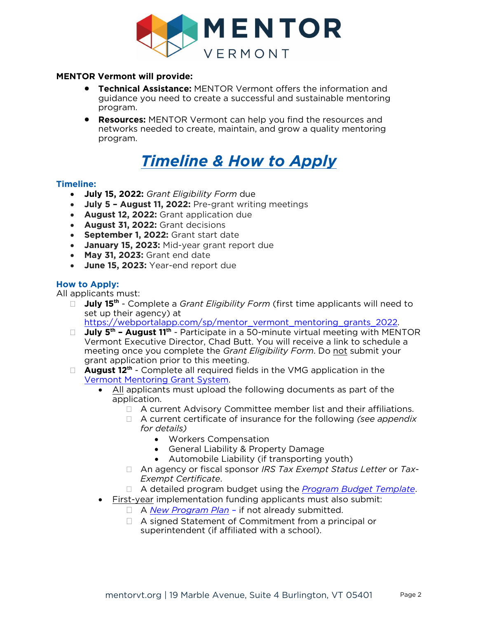

### <span id="page-2-0"></span>**MENTOR Vermont will provide:**

- **Technical Assistance:** MENTOR Vermont offers the information and guidance you need to create a successful and sustainable mentoring program.
- **Resources:** MENTOR Vermont can help you find the resources and networks needed to create, maintain, and grow a quality mentoring program.

# *Timeline & How to Apply*

### **Timeline:**

- **July 15, 2022:** *Grant Eligibility Form* due
- **July 5 August 11, 2022:** Pre-grant writing meetings
- **August 12, 2022:** Grant application due
- **August 31, 2022:** Grant decisions
- **September 1, 2022:** Grant start date
- **January 15, 2023:** Mid-year grant report due
- **May 31, 2023:** Grant end date
- **June 15, 2023:** Year-end report due

# **How to Apply:**

All applicants must:

□ **July 15<sup>th</sup>** - Complete a *Grant Eligibility Form* (first time applicants will need to set up their agency) at

[https://webportalapp.com/sp/mentor\\_vermont\\_mentoring\\_grants\\_2022.](https://webportalapp.com/sp/mentor_vermont_mentoring_grants_2022) 

- □ **July 5<sup>th</sup> August 11<sup>th</sup> -** Participate in a 50-minute virtual meeting with MENTOR Vermont Executive Director, Chad Butt. You will receive a link to schedule a meeting once you complete the *Grant Eligibility Form*. Do not submit your grant application prior to this meeting.
- □ **August 12<sup>th</sup>** Complete all required fields in the VMG application in the [Vermont Mentoring Grant System.](https://webportalapp.com/sp/mentor_vermont_mentoring_grants_2022)
	- All applicants must upload the following documents as part of the application.
		- □ A current Advisory Committee member list and their affiliations.
			- A current certificate of insurance for the following *(see appendix for details)* 
				- Workers Compensation
				- General Liability & Property Damage
				- Automobile Liability (if transporting youth)
			- An agency or fiscal sponsor *IRS Tax Exempt Status Letter* or *Tax-Exempt Certificate*.
		- A detailed program budget using the *[Program Budget Template](https://www.mentorvt.org/blog/wp-content/uploads/VT-Mentoring-Grant-Budget-TEMPLATE.xlsx)*.
	- First-year implementation funding applicants must also submit:
		- A *[New Program Plan](https://www.mentorvt.org/blog/wp-content/uploads/New-Program-Planning-Guide.pdf)* if not already submitted.
		- A signed Statement of Commitment from a principal or superintendent (if affiliated with a school).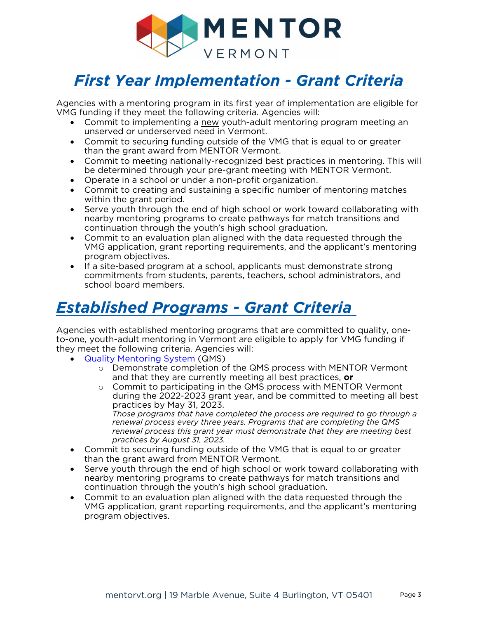

# <span id="page-3-0"></span>*First Year Implementation - Grant Criteria*

Agencies with a mentoring program in its first year of implementation are eligible for VMG funding if they meet the following criteria. Agencies will:

- Commit to implementing a new youth-adult mentoring program meeting an unserved or underserved need in Vermont.
- Commit to securing funding outside of the VMG that is equal to or greater than the grant award from MENTOR Vermont.
- Commit to meeting nationally-recognized best practices in mentoring. This will be determined through your pre-grant meeting with MENTOR Vermont.
- Operate in a school or under a non-profit organization.
- Commit to creating and sustaining a specific number of mentoring matches within the grant period.
- Serve youth through the end of high school or work toward collaborating with nearby mentoring programs to create pathways for match transitions and continuation through the youth's high school graduation.
- Commit to an evaluation plan aligned with the data requested through the VMG application, grant reporting requirements, and the applicant's mentoring program objectives.
- If a site-based program at a school, applicants must demonstrate strong commitments from students, parents, teachers, school administrators, and school board members.

# *Established Programs - Grant Criteria*

Agencies with established mentoring programs that are committed to quality, oneto-one, youth-adult mentoring in Vermont are eligible to apply for VMG funding if they meet the following criteria. Agencies will:

- [Quality Mentoring System](https://www.mentorvt.org/resources-for-programs/#2) (QMS)
	- o Demonstrate completion of the QMS process with MENTOR Vermont and that they are currently meeting all best practices, **or**
	- o Commit to participating in the QMS process with MENTOR Vermont during the 2022-2023 grant year, and be committed to meeting all best practices by May 31, 2023. *Those programs that have completed the process are required to go through a renewal process every three years. Programs that are completing the QMS renewal process this grant year must demonstrate that they are meeting best*
- *practices by August 31, 2023.*  • Commit to securing funding outside of the VMG that is equal to or greater than the grant award from MENTOR Vermont.
- Serve youth through the end of high school or work toward collaborating with nearby mentoring programs to create pathways for match transitions and continuation through the youth's high school graduation.
- Commit to an evaluation plan aligned with the data requested through the VMG application, grant reporting requirements, and the applicant's mentoring program objectives.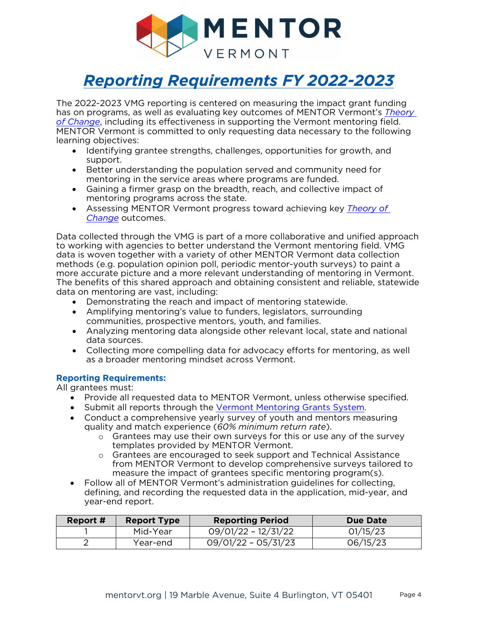

# <span id="page-4-0"></span>*Reporting Requirements FY 2022-2023*

The 2022-2023 VMG reporting is centered on measuring the impact grant funding has on programs, as well as evaluating key outcomes of MENTOR Vermont's *[Theory](https://www.mentorvt.org/about/#6)  [of Change](https://www.mentorvt.org/about/#6)*, including its effectiveness in supporting the Vermont mentoring field. MENTOR Vermont is committed to only requesting data necessary to the following learning objectives:

- Identifying grantee strengths, challenges, opportunities for growth, and support.
- Better understanding the population served and community need for mentoring in the service areas where programs are funded.
- Gaining a firmer grasp on the breadth, reach, and collective impact of mentoring programs across the state.
- Assessing MENTOR Vermont progress toward achieving key *[Theory of](https://www.mentorvt.org/about/#6)  [Change](https://www.mentorvt.org/about/#6)* outcomes.

Data collected through the VMG is part of a more collaborative and unified approach to working with agencies to better understand the Vermont mentoring field. VMG data is woven together with a variety of other MENTOR Vermont data collection methods (e.g. population opinion poll, periodic mentor-youth surveys) to paint a more accurate picture and a more relevant understanding of mentoring in Vermont. The benefits of this shared approach and obtaining consistent and reliable, statewide data on mentoring are vast, including:

- Demonstrating the reach and impact of mentoring statewide.
- Amplifying mentoring's value to funders, legislators, surrounding communities, prospective mentors, youth, and families.
- Analyzing mentoring data alongside other relevant local, state and national data sources.
- Collecting more compelling data for advocacy efforts for mentoring, as well as a broader mentoring mindset across Vermont.

#### **Reporting Requirements:**

All grantees must:

- Provide all requested data to MENTOR Vermont, unless otherwise specified.
- Submit all reports through the [Vermont Mentoring Grants System.](https://webportalapp.com/sp/mentor_vermont_mentoring_grants_2022)
- Conduct a comprehensive yearly survey of youth and mentors measuring quality and match experience (*60% minimum return rate*).
	- o Grantees may use their own surveys for this or use any of the survey templates provided by MENTOR Vermont.
	- o Grantees are encouraged to seek support and Technical Assistance from MENTOR Vermont to develop comprehensive surveys tailored to measure the impact of grantees specific mentoring program(s).
- Follow all of MENTOR Vermont's administration guidelines for collecting, defining, and recording the requested data in the application, mid-year, and year-end report.

| Report # | <b>Report Type</b> | <b>Reporting Period</b> | Due Date |
|----------|--------------------|-------------------------|----------|
|          | Mid-Year           | 09/01/22 - 12/31/22     | 01/15/23 |
|          | Year-end           | $09/01/22 - 05/31/23$   | 06/15/23 |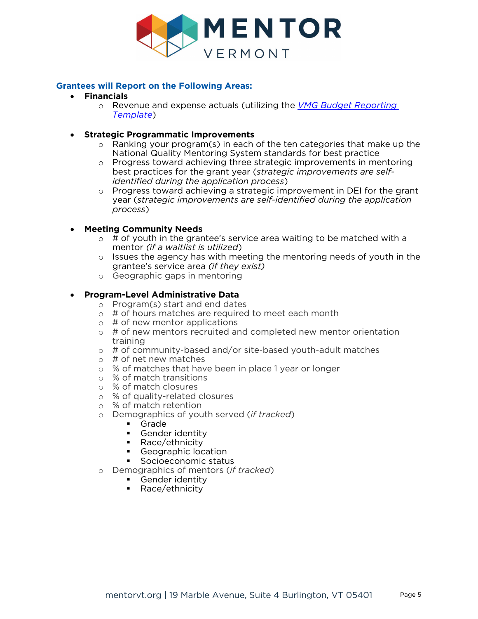

# **Grantees will Report on the Following Areas:**

- **Financials**
	- o Revenue and expense actuals (utilizing the *[VMG Budget Reporting](https://www.mentorvt.org/blog/wp-content/uploads/Year-End-Budget-Reporting-Template.xlsx) [Template](https://www.mentorvt.org/blog/wp-content/uploads/Year-End-Budget-Reporting-Template.xlsx)*)
- **Strategic Programmatic Improvements**
	- o Ranking your program(s) in each of the ten categories that make up the National Quality Mentoring System standards for best practice
	- o Progress toward achieving three strategic improvements in mentoring best practices for the grant year (*strategic improvements are selfidentified during the application process*)
	- o Progress toward achieving a strategic improvement in DEI for the grant year (*strategic improvements are self-identified during the application process*)

# • **Meeting Community Needs**

- $\circ$  # of youth in the grantee's service area waiting to be matched with a mentor *(if a waitlist is utilized*)
- $\circ$  Issues the agency has with meeting the mentoring needs of youth in the grantee's service area *(if they exist)*
- o Geographic gaps in mentoring

## • **Program-Level Administrative Data**

- o Program(s) start and end dates
- $\circ$  # of hours matches are required to meet each month
- $\circ$  # of new mentor applications
- $\circ$  # of new mentors recruited and completed new mentor orientation training
- o # of community-based and/or site-based youth-adult matches
- $\circ$  # of net new matches
- o % of matches that have been in place 1 year or longer
- o % of match transitions
- o % of match closures
- o % of quality-related closures
- o % of match retention
- o Demographics of youth served (*if tracked*)
	- Grade
	- Gender identity<br>Dace/ethnicity
	- Race/ethnicity
	- Geographic location
	- Socioeconomic status
- o Demographics of mentors (*if tracked*)
	- **Gender identity**
	- Race/ethnicity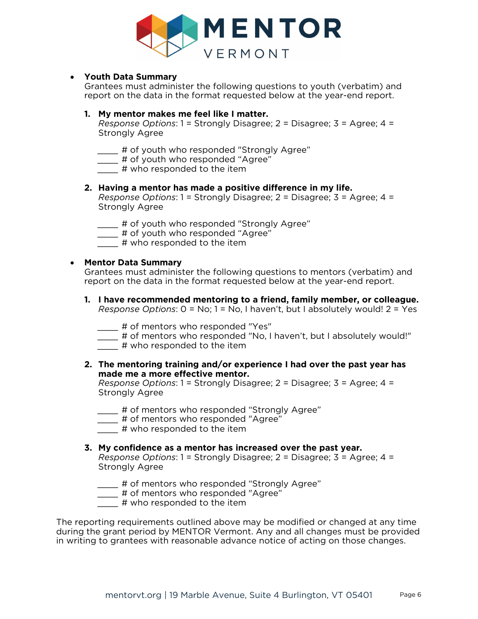

## • **Youth Data Summary**

Grantees must administer the following questions to youth (verbatim) and report on the data in the format requested below at the year-end report.

### **1. My mentor makes me feel like I matter.**

*Response Options*: 1 = Strongly Disagree; 2 = Disagree; 3 = Agree; 4 = Strongly Agree

- *\_\_\_\_* # of youth who responded "Strongly Agree"
- *\_\_\_\_* # of youth who responded "Agree"
- *\_\_\_\_* # who responded to the item

#### **2. Having a mentor has made a positive difference in my life.**

*Response Options*: 1 = Strongly Disagree; 2 = Disagree; 3 = Agree; 4 = Strongly Agree

- *\_\_\_\_* # of youth who responded "Strongly Agree"
- *\_\_\_\_* # of youth who responded "Agree"
- *\_\_\_\_* # who responded to the item

#### • **Mentor Data Summary**

Grantees must administer the following questions to mentors (verbatim) and report on the data in the format requested below at the year-end report.

- **1. I have recommended mentoring to a friend, family member, or colleague.** *Response Options*: 0 = No; 1 = No, I haven't, but I absolutely would! 2 = Yes
	- *\_\_\_\_* # of mentors who responded "Yes"
	- *\_\_\_\_* # of mentors who responded "No, I haven't, but I absolutely would!"
	- *\_\_\_\_* # who responded to the item
- **2. The mentoring training and/or experience I had over the past year has made me a more effective mentor.**

*Response Options*: 1 = Strongly Disagree; 2 = Disagree; 3 = Agree; 4 = Strongly Agree

- # of mentors who responded "Strongly Agree"
- *\_\_\_\_* # of mentors who responded "Agree"
- *\_\_\_\_* # who responded to the item

#### **3. My confidence as a mentor has increased over the past year.**

*Response Options*: 1 = Strongly Disagree; 2 = Disagree; 3 = Agree; 4 = Strongly Agree

- *\_\_\_\_* # of mentors who responded "Strongly Agree"
- *\_\_\_\_* # of mentors who responded "Agree"
- *\_\_\_\_* # who responded to the item

The reporting requirements outlined above may be modified or changed at any time during the grant period by MENTOR Vermont. Any and all changes must be provided in writing to grantees with reasonable advance notice of acting on those changes.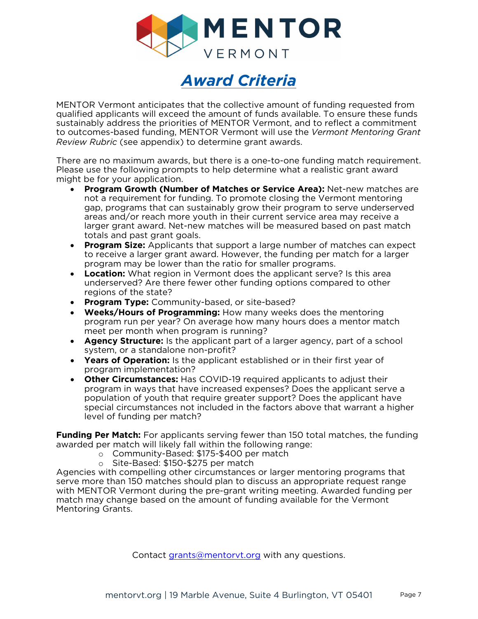



<span id="page-7-0"></span>MENTOR Vermont anticipates that the collective amount of funding requested from qualified applicants will exceed the amount of funds available. To ensure these funds sustainably address the priorities of MENTOR Vermont, and to reflect a commitment to outcomes-based funding, MENTOR Vermont will use the *Vermont Mentoring Grant Review Rubric* (see appendix) to determine grant awards.

There are no maximum awards, but there is a one-to-one funding match requirement. Please use the following prompts to help determine what a realistic grant award might be for your application.

- **Program Growth (Number of Matches or Service Area):** Net-new matches are not a requirement for funding. To promote closing the Vermont mentoring gap, programs that can sustainably grow their program to serve underserved areas and/or reach more youth in their current service area may receive a larger grant award. Net-new matches will be measured based on past match totals and past grant goals.
- **Program Size:** Applicants that support a large number of matches can expect to receive a larger grant award. However, the funding per match for a larger program may be lower than the ratio for smaller programs.
- **Location:** What region in Vermont does the applicant serve? Is this area underserved? Are there fewer other funding options compared to other regions of the state?
- **Program Type:** Community-based, or site-based?
- **Weeks/Hours of Programming:** How many weeks does the mentoring program run per year? On average how many hours does a mentor match meet per month when program is running?
- **Agency Structure:** Is the applicant part of a larger agency, part of a school system, or a standalone non-profit?
- **Years of Operation:** Is the applicant established or in their first year of program implementation?
- **Other Circumstances:** Has COVID-19 required applicants to adjust their program in ways that have increased expenses? Does the applicant serve a population of youth that require greater support? Does the applicant have special circumstances not included in the factors above that warrant a higher level of funding per match?

**Funding Per Match:** For applicants serving fewer than 150 total matches, the funding awarded per match will likely fall within the following range:

- o Community-Based: \$175-\$400 per match
- o Site-Based: \$150-\$275 per match

Agencies with compelling other circumstances or larger mentoring programs that serve more than 150 matches should plan to discuss an appropriate request range with MENTOR Vermont during the pre-grant writing meeting. Awarded funding per match may change based on the amount of funding available for the Vermont Mentoring Grants.

Contact grants@mentoryt.org with any questions.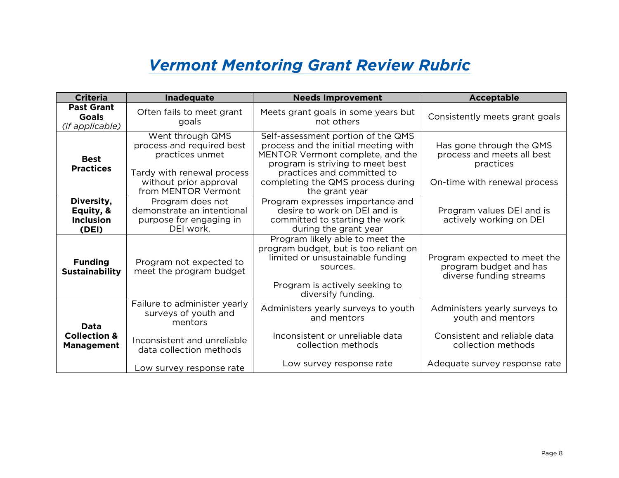# *Vermont Mentoring Grant Review Rubric*

<span id="page-8-0"></span>

| <b>Criteria</b>                                             | Inadequate                                                                                                                                      | <b>Needs Improvement</b>                                                                                                                                                                                                                | <b>Acceptable</b>                                                                                   |
|-------------------------------------------------------------|-------------------------------------------------------------------------------------------------------------------------------------------------|-----------------------------------------------------------------------------------------------------------------------------------------------------------------------------------------------------------------------------------------|-----------------------------------------------------------------------------------------------------|
| <b>Past Grant</b><br><b>Goals</b><br><i>(if applicable)</i> | Often fails to meet grant<br>goals                                                                                                              | Meets grant goals in some years but<br>not others                                                                                                                                                                                       | Consistently meets grant goals                                                                      |
| <b>Best</b><br><b>Practices</b>                             | Went through QMS<br>process and required best<br>practices unmet<br>Tardy with renewal process<br>without prior approval<br>from MENTOR Vermont | Self-assessment portion of the QMS<br>process and the initial meeting with<br>MENTOR Vermont complete, and the<br>program is striving to meet best<br>practices and committed to<br>completing the QMS process during<br>the grant year | Has gone through the QMS<br>process and meets all best<br>practices<br>On-time with renewal process |
| Diversity,<br>Equity, &<br><b>Inclusion</b><br>(DEI)        | Program does not<br>demonstrate an intentional<br>purpose for engaging in<br>DEI work.                                                          | Program expresses importance and<br>desire to work on DEI and is<br>committed to starting the work<br>during the grant year                                                                                                             | Program values DEI and is<br>actively working on DEI                                                |
| <b>Funding</b><br><b>Sustainability</b>                     | Program not expected to<br>meet the program budget                                                                                              | Program likely able to meet the<br>program budget, but is too reliant on<br>limited or unsustainable funding<br>sources.<br>Program is actively seeking to<br>diversify funding.                                                        | Program expected to meet the<br>program budget and has<br>diverse funding streams                   |
| Data<br><b>Collection &amp;</b><br><b>Management</b>        | Failure to administer yearly<br>surveys of youth and<br>mentors                                                                                 | Administers yearly surveys to youth<br>and mentors                                                                                                                                                                                      | Administers yearly surveys to<br>youth and mentors                                                  |
|                                                             | Inconsistent and unreliable<br>data collection methods                                                                                          | Inconsistent or unreliable data<br>collection methods                                                                                                                                                                                   | Consistent and reliable data<br>collection methods                                                  |
|                                                             | Low survey response rate                                                                                                                        | Low survey response rate                                                                                                                                                                                                                | Adequate survey response rate                                                                       |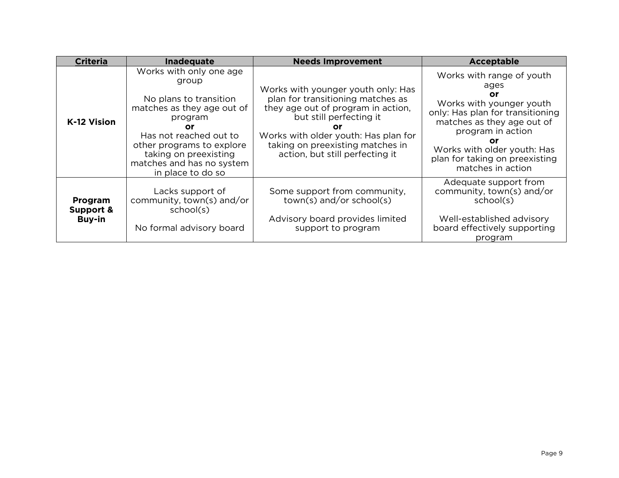| <b>Criteria</b>                       | Inadequate                                                                                                                                                                                                                                  | <b>Needs Improvement</b>                                                                                                                                                                                                                                      | Acceptable                                                                                                                                                                                                                                             |
|---------------------------------------|---------------------------------------------------------------------------------------------------------------------------------------------------------------------------------------------------------------------------------------------|---------------------------------------------------------------------------------------------------------------------------------------------------------------------------------------------------------------------------------------------------------------|--------------------------------------------------------------------------------------------------------------------------------------------------------------------------------------------------------------------------------------------------------|
| K-12 Vision                           | Works with only one age<br>group<br>No plans to transition<br>matches as they age out of<br>program<br>or<br>Has not reached out to<br>other programs to explore<br>taking on preexisting<br>matches and has no system<br>in place to do so | Works with younger youth only: Has<br>plan for transitioning matches as<br>they age out of program in action,<br>but still perfecting it<br>or<br>Works with older youth: Has plan for<br>taking on preexisting matches in<br>action, but still perfecting it | Works with range of youth<br>ages<br>Οr<br>Works with younger youth<br>only: Has plan for transitioning<br>matches as they age out of<br>program in action<br>Οr<br>Works with older youth: Has<br>plan for taking on preexisting<br>matches in action |
| Program<br>Support &<br><b>Buy-in</b> | Lacks support of<br>community, town(s) and/or<br>school(s)<br>No formal advisory board                                                                                                                                                      | Some support from community,<br>$town(s)$ and/or school(s)<br>Advisory board provides limited<br>support to program                                                                                                                                           | Adequate support from<br>community, town(s) and/or<br>school(s)<br>Well-established advisory<br>board effectively supporting<br>program                                                                                                                |